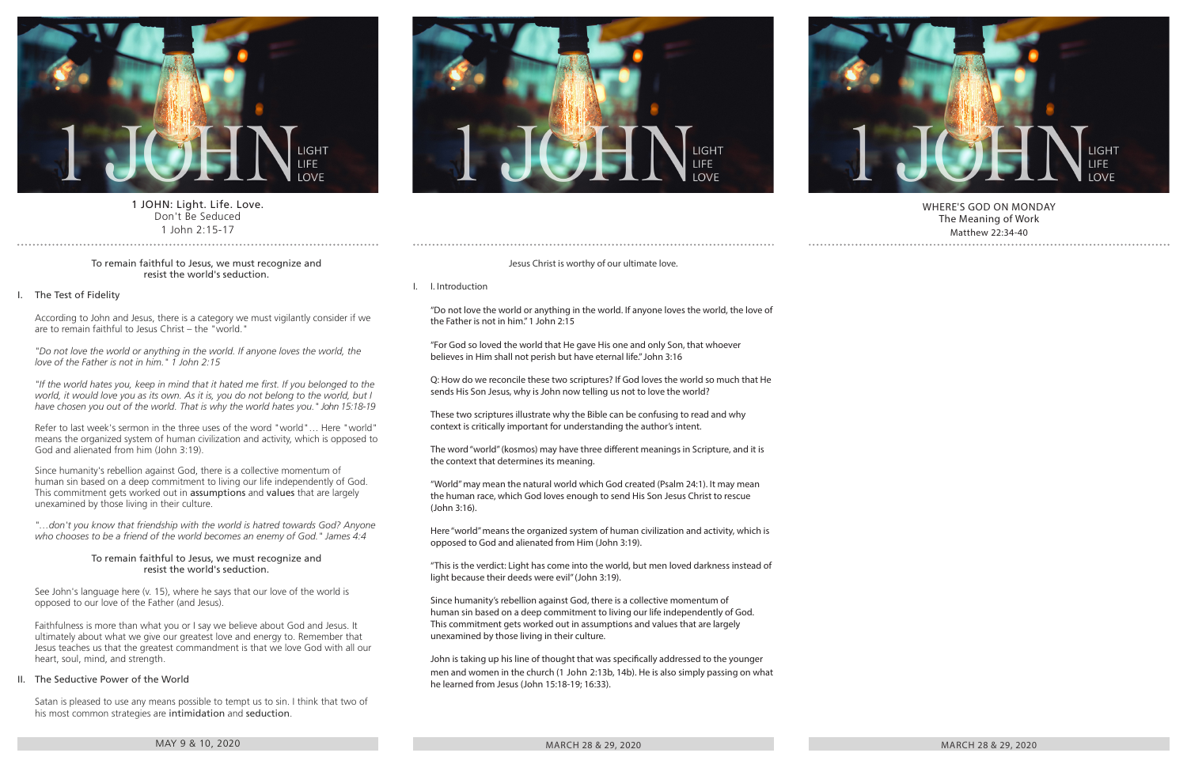

# 1 JOHN: Light. Life. Love. Don't Be Seduced 1 John 2:15-17

### To remain faithful to Jesus, we must recognize and resist the world's seduction.

# I. The Test of Fidelity

According to John and Jesus, there is a category we must vigilantly consider if we are to remain faithful to Jesus Christ – the "world."

*"Do not love the world or anything in the world. If anyone loves the world, the love of the Father is not in him." 1 John 2:15*

*"If the world hates you, keep in mind that it hated me first. If you belonged to the world, it would love you as its own. As it is, you do not belong to the world, but I have chosen you out of the world. That is why the world hates you." John 15:18-19*

Refer to last week's sermon in the three uses of the word "world"… Here "world" means the organized system of human civilization and activity, which is opposed to God and alienated from him (John 3:19).

Since humanity's rebellion against God, there is a collective momentum of human sin based on a deep commitment to living our life independently of God. This commitment gets worked out in assumptions and values that are largely unexamined by those living in their culture.

*"…don't you know that friendship with the world is hatred towards God? Anyone who chooses to be a friend of the world becomes an enemy of God." James 4:4*

### To remain faithful to Jesus, we must recognize and resist the world's seduction.

See John's language here (v. 15), where he says that our love of the world is opposed to our love of the Father (and Jesus).

Faithfulness is more than what you or I say we believe about God and Jesus. It ultimately about what we give our greatest love and energy to. Remember that Jesus teaches us that the greatest commandment is that we love God with all our heart, soul, mind, and strength.

# II. The Seductive Power of the World

Satan is pleased to use any means possible to tempt us to sin. I think that two of his most common strategies are intimidation and seduction.

### MAY 9 & 10, 2020 MARCH 28  $\pm$  200